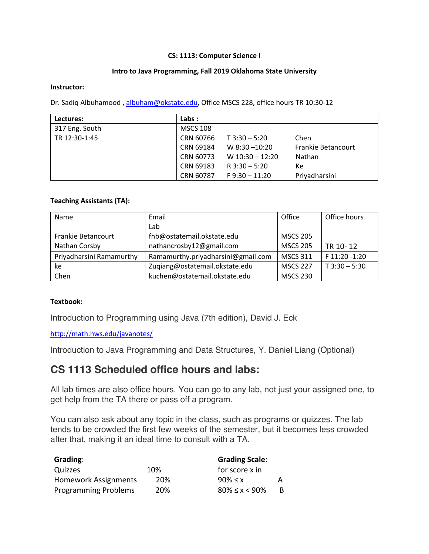### **CS: 1113: Computer Science I**

#### **Intro to Java Programming, Fall 2019 Oklahoma State University**

#### **Instructor:**

Dr. Sadiq Albuhamood, albuham@okstate.edu, Office MSCS 228, office hours TR 10:30-12

| Lectures:      | Labs:           |                   |                           |
|----------------|-----------------|-------------------|---------------------------|
| 317 Eng. South | <b>MSCS 108</b> |                   |                           |
| TR 12:30-1:45  | CRN 60766       | $T$ 3:30 - 5:20   | Chen                      |
|                | CRN 69184       | W $8:30 - 10:20$  | <b>Frankie Betancourt</b> |
|                | CRN 60773       | W $10:30 - 12:20$ | <b>Nathan</b>             |
|                | CRN 69183       | $R$ 3:30 - 5:20   | Кe                        |
|                | CRN 60787       | $F$ 9:30 - 11:20  | Priyadharsini             |

### **Teaching Assistants (TA):**

| Name                     | Email                              | Office          | Office hours    |
|--------------------------|------------------------------------|-----------------|-----------------|
|                          | Lab                                |                 |                 |
| Frankie Betancourt       | fhb@ostatemail.okstate.edu         | <b>MSCS 205</b> |                 |
| Nathan Corsby            | nathancrosby12@gmail.com           | <b>MSCS 205</b> | TR 10-12        |
| Priyadharsini Ramamurthy | Ramamurthy.priyadharsini@gmail.com | <b>MSCS 311</b> | F 11:20 -1:20   |
| ke                       | Zugiang@ostatemail.okstate.edu     | <b>MSCS 227</b> | $T$ 3:30 - 5:30 |
| Chen                     | kuchen@ostatemail.okstate.edu      | <b>MSCS 230</b> |                 |

### **Textbook:**

Introduction to Programming using Java (7th edition), David J. Eck

http://math.hws.edu/javanotes/

Introduction to Java Programming and Data Structures, Y. Daniel Liang (Optional)

### **CS 1113 Scheduled office hours and labs:**

All lab times are also office hours. You can go to any lab, not just your assigned one, to get help from the TA there or pass off a program.

You can also ask about any topic in the class, such as programs or quizzes. The lab tends to be crowded the first few weeks of the semester, but it becomes less crowded after that, making it an ideal time to consult with a TA.

| Grading:                    |     | <b>Grading Scale:</b>   |    |
|-----------------------------|-----|-------------------------|----|
| Quizzes                     | 10% | for score x in          |    |
| <b>Homework Assignments</b> | 20% | $90\% \leq x$           | А  |
| <b>Programming Problems</b> | 20% | $80\% \leq x \leq 90\%$ | B. |